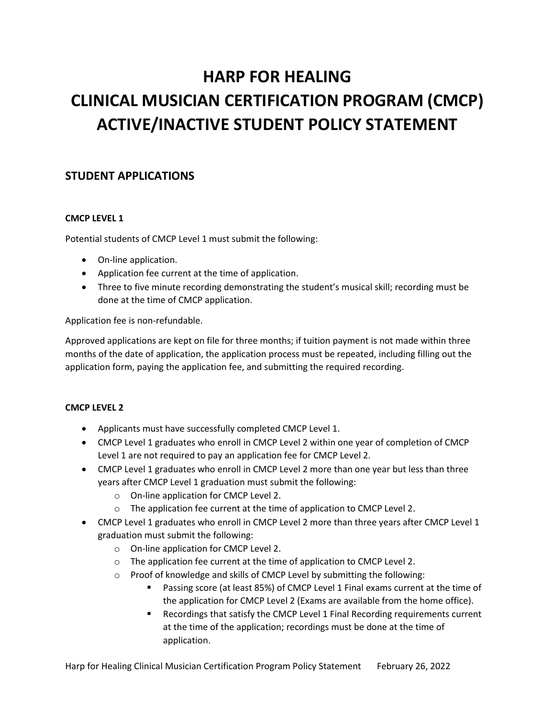# **HARP FOR HEALING CLINICAL MUSICIAN CERTIFICATION PROGRAM (CMCP) ACTIVE/INACTIVE STUDENT POLICY STATEMENT**

## **STUDENT APPLICATIONS**

## **CMCP LEVEL 1**

Potential students of CMCP Level 1 must submit the following:

- On-line application.
- Application fee current at the time of application.
- Three to five minute recording demonstrating the student's musical skill; recording must be done at the time of CMCP application.

Application fee is non-refundable.

Approved applications are kept on file for three months; if tuition payment is not made within three months of the date of application, the application process must be repeated, including filling out the application form, paying the application fee, and submitting the required recording.

## **CMCP LEVEL 2**

- Applicants must have successfully completed CMCP Level 1.
- CMCP Level 1 graduates who enroll in CMCP Level 2 within one year of completion of CMCP Level 1 are not required to pay an application fee for CMCP Level 2.
- CMCP Level 1 graduates who enroll in CMCP Level 2 more than one year but less than three years after CMCP Level 1 graduation must submit the following:
	- o On-line application for CMCP Level 2.
	- o The application fee current at the time of application to CMCP Level 2.
- CMCP Level 1 graduates who enroll in CMCP Level 2 more than three years after CMCP Level 1 graduation must submit the following:
	- o On-line application for CMCP Level 2.
	- o The application fee current at the time of application to CMCP Level 2.
	- o Proof of knowledge and skills of CMCP Level by submitting the following:
		- Passing score (at least 85%) of CMCP Level 1 Final exams current at the time of the application for CMCP Level 2 (Exams are available from the home office).
		- Recordings that satisfy the CMCP Level 1 Final Recording requirements current at the time of the application; recordings must be done at the time of application.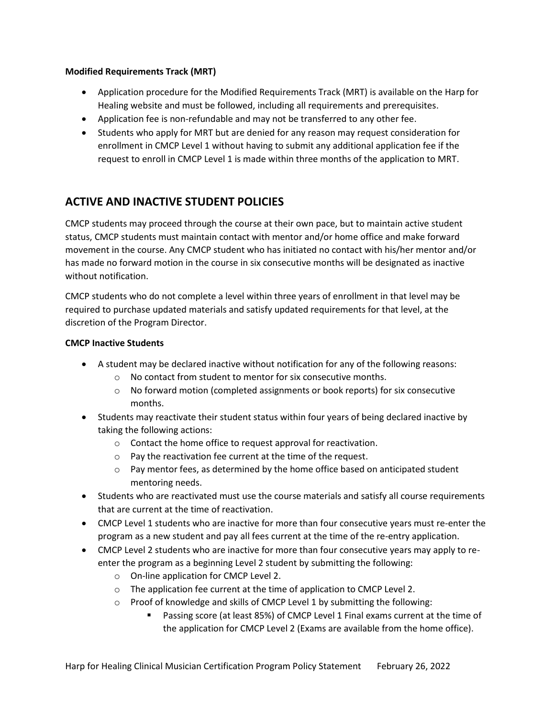#### **Modified Requirements Track (MRT)**

- Application procedure for the Modified Requirements Track (MRT) is available on the Harp for Healing website and must be followed, including all requirements and prerequisites.
- Application fee is non-refundable and may not be transferred to any other fee.
- Students who apply for MRT but are denied for any reason may request consideration for enrollment in CMCP Level 1 without having to submit any additional application fee if the request to enroll in CMCP Level 1 is made within three months of the application to MRT.

## **ACTIVE AND INACTIVE STUDENT POLICIES**

CMCP students may proceed through the course at their own pace, but to maintain active student status, CMCP students must maintain contact with mentor and/or home office and make forward movement in the course. Any CMCP student who has initiated no contact with his/her mentor and/or has made no forward motion in the course in six consecutive months will be designated as inactive without notification.

CMCP students who do not complete a level within three years of enrollment in that level may be required to purchase updated materials and satisfy updated requirements for that level, at the discretion of the Program Director.

#### **CMCP Inactive Students**

- A student may be declared inactive without notification for any of the following reasons:
	- o No contact from student to mentor for six consecutive months.
	- $\circ$  No forward motion (completed assignments or book reports) for six consecutive months.
- Students may reactivate their student status within four years of being declared inactive by taking the following actions:
	- o Contact the home office to request approval for reactivation.
	- o Pay the reactivation fee current at the time of the request.
	- $\circ$  Pay mentor fees, as determined by the home office based on anticipated student mentoring needs.
- Students who are reactivated must use the course materials and satisfy all course requirements that are current at the time of reactivation.
- CMCP Level 1 students who are inactive for more than four consecutive years must re-enter the program as a new student and pay all fees current at the time of the re-entry application.
- CMCP Level 2 students who are inactive for more than four consecutive years may apply to reenter the program as a beginning Level 2 student by submitting the following:
	- o On-line application for CMCP Level 2.
	- o The application fee current at the time of application to CMCP Level 2.
	- $\circ$  Proof of knowledge and skills of CMCP Level 1 by submitting the following:
		- Passing score (at least 85%) of CMCP Level 1 Final exams current at the time of the application for CMCP Level 2 (Exams are available from the home office).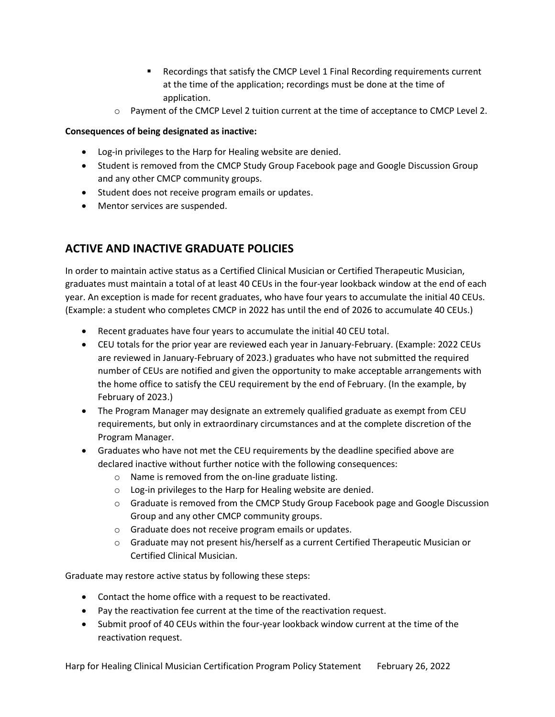- Recordings that satisfy the CMCP Level 1 Final Recording requirements current at the time of the application; recordings must be done at the time of application.
- $\circ$  Payment of the CMCP Level 2 tuition current at the time of acceptance to CMCP Level 2.

## **Consequences of being designated as inactive:**

- Log-in privileges to the Harp for Healing website are denied.
- Student is removed from the CMCP Study Group Facebook page and Google Discussion Group and any other CMCP community groups.
- Student does not receive program emails or updates.
- Mentor services are suspended.

# **ACTIVE AND INACTIVE GRADUATE POLICIES**

In order to maintain active status as a Certified Clinical Musician or Certified Therapeutic Musician, graduates must maintain a total of at least 40 CEUs in the four-year lookback window at the end of each year. An exception is made for recent graduates, who have four years to accumulate the initial 40 CEUs. (Example: a student who completes CMCP in 2022 has until the end of 2026 to accumulate 40 CEUs.)

- Recent graduates have four years to accumulate the initial 40 CEU total.
- CEU totals for the prior year are reviewed each year in January-February. (Example: 2022 CEUs are reviewed in January-February of 2023.) graduates who have not submitted the required number of CEUs are notified and given the opportunity to make acceptable arrangements with the home office to satisfy the CEU requirement by the end of February. (In the example, by February of 2023.)
- The Program Manager may designate an extremely qualified graduate as exempt from CEU requirements, but only in extraordinary circumstances and at the complete discretion of the Program Manager.
- Graduates who have not met the CEU requirements by the deadline specified above are declared inactive without further notice with the following consequences:
	- o Name is removed from the on-line graduate listing.
	- o Log-in privileges to the Harp for Healing website are denied.
	- o Graduate is removed from the CMCP Study Group Facebook page and Google Discussion Group and any other CMCP community groups.
	- o Graduate does not receive program emails or updates.
	- o Graduate may not present his/herself as a current Certified Therapeutic Musician or Certified Clinical Musician.

Graduate may restore active status by following these steps:

- Contact the home office with a request to be reactivated.
- Pay the reactivation fee current at the time of the reactivation request.
- Submit proof of 40 CEUs within the four-year lookback window current at the time of the reactivation request.